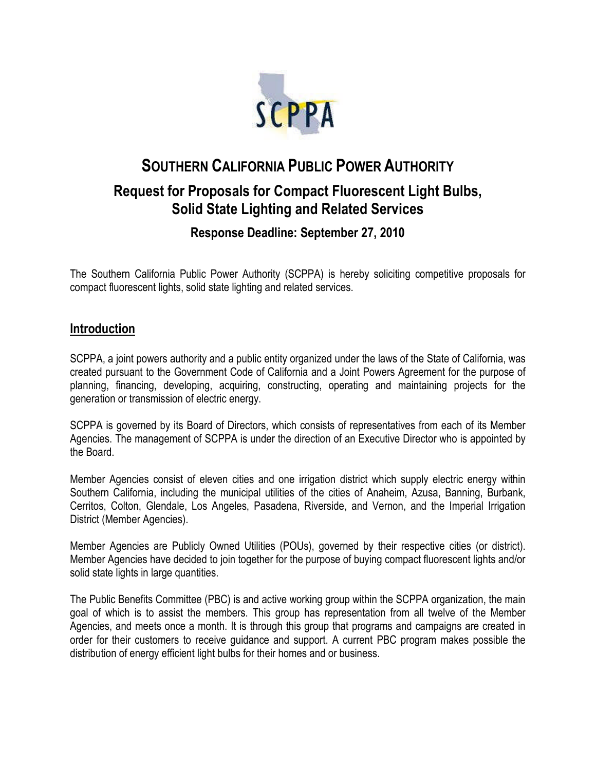

# **SOUTHERN CALIFORNIA PUBLIC POWER AUTHORITY**

## **Request for Proposals for Compact Fluorescent Light Bulbs, Solid State Lighting and Related Services**

### **Response Deadline: September 27, 2010**

The Southern California Public Power Authority (SCPPA) is hereby soliciting competitive proposals for compact fluorescent lights, solid state lighting and related services.

#### **Introduction**

SCPPA, a joint powers authority and a public entity organized under the laws of the State of California, was created pursuant to the Government Code of California and a Joint Powers Agreement for the purpose of planning, financing, developing, acquiring, constructing, operating and maintaining projects for the generation or transmission of electric energy.

SCPPA is governed by its Board of Directors, which consists of representatives from each of its Member Agencies. The management of SCPPA is under the direction of an Executive Director who is appointed by the Board.

Member Agencies consist of eleven cities and one irrigation district which supply electric energy within Southern California, including the municipal utilities of the cities of Anaheim, Azusa, Banning, Burbank, Cerritos, Colton, Glendale, Los Angeles, Pasadena, Riverside, and Vernon, and the Imperial Irrigation District (Member Agencies).

Member Agencies are Publicly Owned Utilities (POUs), governed by their respective cities (or district). Member Agencies have decided to join together for the purpose of buying compact fluorescent lights and/or solid state lights in large quantities.

The Public Benefits Committee (PBC) is and active working group within the SCPPA organization, the main goal of which is to assist the members. This group has representation from all twelve of the Member Agencies, and meets once a month. It is through this group that programs and campaigns are created in order for their customers to receive guidance and support. A current PBC program makes possible the distribution of energy efficient light bulbs for their homes and or business.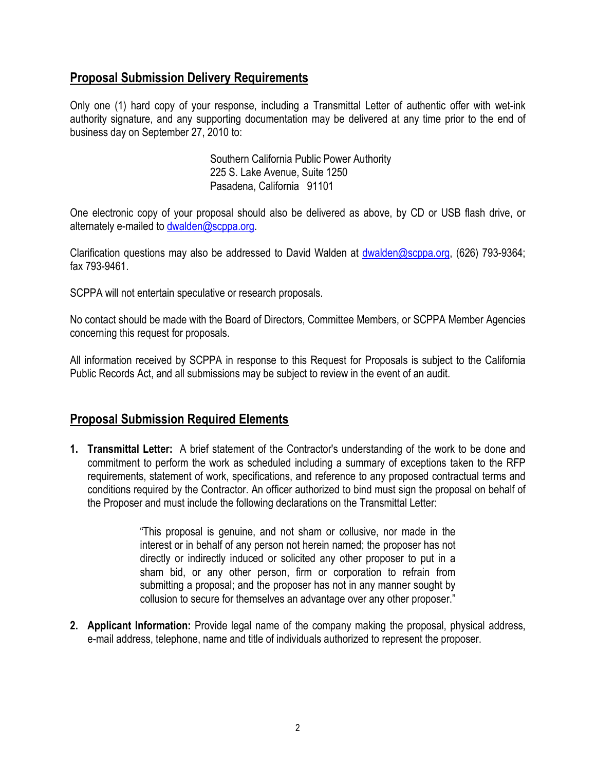#### **Proposal Submission Delivery Requirements**

Only one (1) hard copy of your response, including a Transmittal Letter of authentic offer with wet-ink authority signature, and any supporting documentation may be delivered at any time prior to the end of business day on September 27, 2010 to:

> Southern California Public Power Authority 225 S. Lake Avenue, Suite 1250 Pasadena, California 91101

One electronic copy of your proposal should also be delivered as above, by CD or USB flash drive, or alternately e-mailed to [dwalden@scppa.org](mailto:dwalden@scppa.org).

Clarification questions may also be addressed to David Walden at [dwalden@scppa.org](mailto:dwalden@scppa.org), (626) 793-9364; fax 793-9461.

SCPPA will not entertain speculative or research proposals.

No contact should be made with the Board of Directors, Committee Members, or SCPPA Member Agencies concerning this request for proposals.

All information received by SCPPA in response to this Request for Proposals is subject to the California Public Records Act, and all submissions may be subject to review in the event of an audit.

#### **Proposal Submission Required Elements**

**1. Transmittal Letter:** A brief statement of the Contractor's understanding of the work to be done and commitment to perform the work as scheduled including a summary of exceptions taken to the RFP requirements, statement of work, specifications, and reference to any proposed contractual terms and conditions required by the Contractor. An officer authorized to bind must sign the proposal on behalf of the Proposer and must include the following declarations on the Transmittal Letter:

> "This proposal is genuine, and not sham or collusive, nor made in the interest or in behalf of any person not herein named; the proposer has not directly or indirectly induced or solicited any other proposer to put in a sham bid, or any other person, firm or corporation to refrain from submitting a proposal; and the proposer has not in any manner sought by collusion to secure for themselves an advantage over any other proposer."

**2. Applicant Information:** Provide legal name of the company making the proposal, physical address, e-mail address, telephone, name and title of individuals authorized to represent the proposer.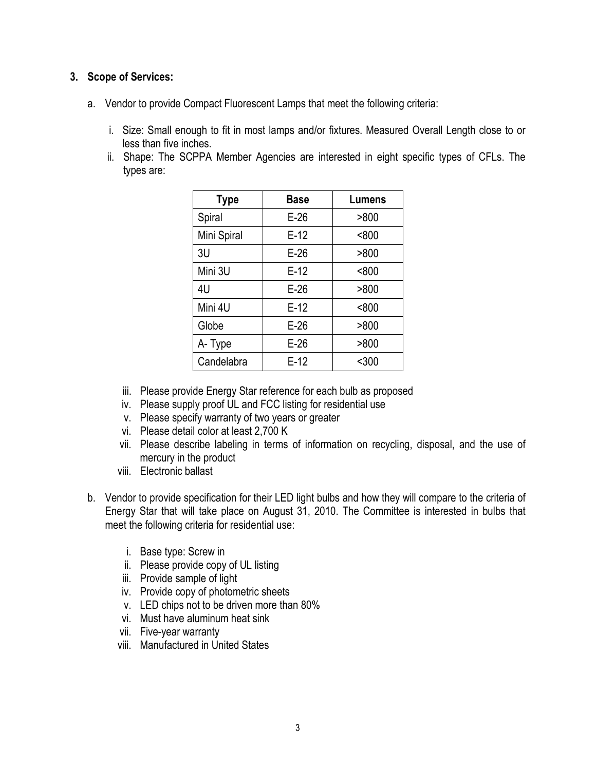#### **3. Scope of Services:**

- a. Vendor to provide Compact Fluorescent Lamps that meet the following criteria:
	- i. Size: Small enough to fit in most lamps and/or fixtures. Measured Overall Length close to or less than five inches.
	- ii. Shape: The SCPPA Member Agencies are interested in eight specific types of CFLs. The types are:

| <b>Type</b> | <b>Base</b> | Lumens |
|-------------|-------------|--------|
| Spiral      | $E-26$      | >800   |
| Mini Spiral | $E-12$      | < 800  |
| 3U          | $E-26$      | >800   |
| Mini 3U     | $E-12$      | < 800  |
| 4U          | $E-26$      | >800   |
| Mini 4U     | $E-12$      | < 800  |
| Globe       | $E-26$      | >800   |
| A-Type      | $E-26$      | >800   |
| Candelabra  | $E-12$      | $300$  |

- iii. Please provide Energy Star reference for each bulb as proposed
- iv. Please supply proof UL and FCC listing for residential use
- v. Please specify warranty of two years or greater
- vi. Please detail color at least 2,700 K
- vii. Please describe labeling in terms of information on recycling, disposal, and the use of mercury in the product
- viii. Electronic ballast
- b. Vendor to provide specification for their LED light bulbs and how they will compare to the criteria of Energy Star that will take place on August 31, 2010. The Committee is interested in bulbs that meet the following criteria for residential use:
	- i. Base type: Screw in
	- ii. Please provide copy of UL listing
	- iii. Provide sample of light
	- iv. Provide copy of photometric sheets
	- v. LED chips not to be driven more than 80%
	- vi. Must have aluminum heat sink
	- vii. Five-year warranty
	- viii. Manufactured in United States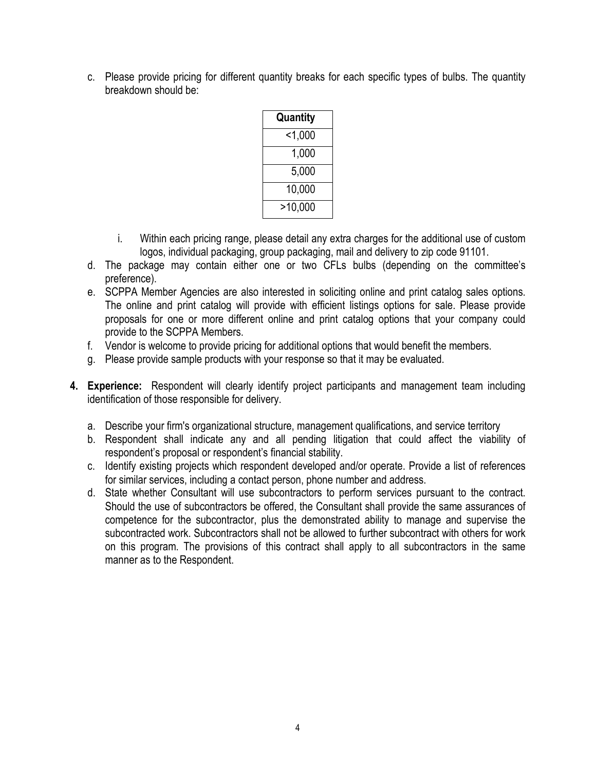c. Please provide pricing for different quantity breaks for each specific types of bulbs. The quantity breakdown should be:

| Quantity |
|----------|
| < 1,000  |
| 1,000    |
| 5,000    |
| 10,000   |
| >10,000  |

- i. Within each pricing range, please detail any extra charges for the additional use of custom logos, individual packaging, group packaging, mail and delivery to zip code 91101.
- d. The package may contain either one or two CFLs bulbs (depending on the committee's preference).
- e. SCPPA Member Agencies are also interested in soliciting online and print catalog sales options. The online and print catalog will provide with efficient listings options for sale. Please provide proposals for one or more different online and print catalog options that your company could provide to the SCPPA Members.
- f. Vendor is welcome to provide pricing for additional options that would benefit the members.
- g. Please provide sample products with your response so that it may be evaluated.
- **4. Experience:** Respondent will clearly identify project participants and management team including identification of those responsible for delivery.
	- a. Describe your firm's organizational structure, management qualifications, and service territory
	- b. Respondent shall indicate any and all pending litigation that could affect the viability of respondent's proposal or respondent's financial stability.
	- c. Identify existing projects which respondent developed and/or operate. Provide a list of references for similar services, including a contact person, phone number and address.
	- d. State whether Consultant will use subcontractors to perform services pursuant to the contract. Should the use of subcontractors be offered, the Consultant shall provide the same assurances of competence for the subcontractor, plus the demonstrated ability to manage and supervise the subcontracted work. Subcontractors shall not be allowed to further subcontract with others for work on this program. The provisions of this contract shall apply to all subcontractors in the same manner as to the Respondent.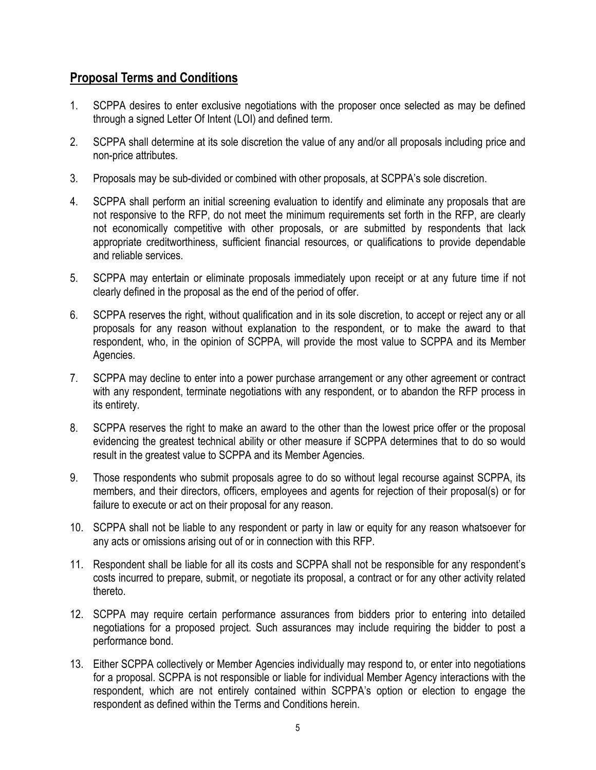#### **Proposal Terms and Conditions**

- 1. SCPPA desires to enter exclusive negotiations with the proposer once selected as may be defined through a signed Letter Of Intent (LOI) and defined term.
- 2. SCPPA shall determine at its sole discretion the value of any and/or all proposals including price and non-price attributes.
- 3. Proposals may be sub-divided or combined with other proposals, at SCPPA's sole discretion.
- 4. SCPPA shall perform an initial screening evaluation to identify and eliminate any proposals that are not responsive to the RFP, do not meet the minimum requirements set forth in the RFP, are clearly not economically competitive with other proposals, or are submitted by respondents that lack appropriate creditworthiness, sufficient financial resources, or qualifications to provide dependable and reliable services.
- 5. SCPPA may entertain or eliminate proposals immediately upon receipt or at any future time if not clearly defined in the proposal as the end of the period of offer.
- 6. SCPPA reserves the right, without qualification and in its sole discretion, to accept or reject any or all proposals for any reason without explanation to the respondent, or to make the award to that respondent, who, in the opinion of SCPPA, will provide the most value to SCPPA and its Member Agencies.
- 7. SCPPA may decline to enter into a power purchase arrangement or any other agreement or contract with any respondent, terminate negotiations with any respondent, or to abandon the RFP process in its entirety.
- 8. SCPPA reserves the right to make an award to the other than the lowest price offer or the proposal evidencing the greatest technical ability or other measure if SCPPA determines that to do so would result in the greatest value to SCPPA and its Member Agencies.
- 9. Those respondents who submit proposals agree to do so without legal recourse against SCPPA, its members, and their directors, officers, employees and agents for rejection of their proposal(s) or for failure to execute or act on their proposal for any reason.
- 10. SCPPA shall not be liable to any respondent or party in law or equity for any reason whatsoever for any acts or omissions arising out of or in connection with this RFP.
- 11. Respondent shall be liable for all its costs and SCPPA shall not be responsible for any respondent's costs incurred to prepare, submit, or negotiate its proposal, a contract or for any other activity related thereto.
- 12. SCPPA may require certain performance assurances from bidders prior to entering into detailed negotiations for a proposed project. Such assurances may include requiring the bidder to post a performance bond.
- 13. Either SCPPA collectively or Member Agencies individually may respond to, or enter into negotiations for a proposal. SCPPA is not responsible or liable for individual Member Agency interactions with the respondent, which are not entirely contained within SCPPA's option or election to engage the respondent as defined within the Terms and Conditions herein.